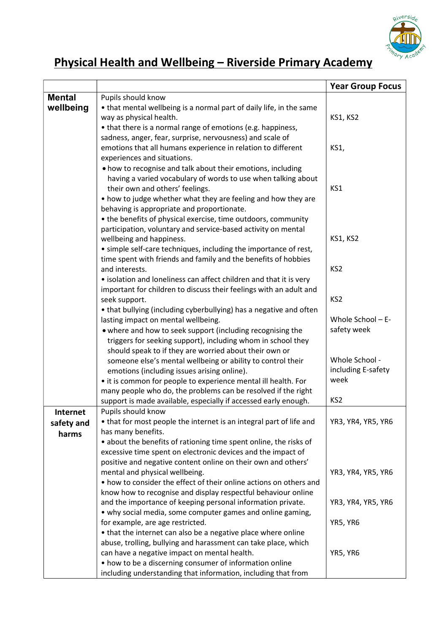

## Physical Health and Wellbeing – Riverside Primary Academy

|               |                                                                                                                                 | <b>Year Group Focus</b> |
|---------------|---------------------------------------------------------------------------------------------------------------------------------|-------------------------|
| <b>Mental</b> | Pupils should know                                                                                                              |                         |
| wellbeing     | • that mental wellbeing is a normal part of daily life, in the same                                                             |                         |
|               | way as physical health.                                                                                                         | <b>KS1, KS2</b>         |
|               | • that there is a normal range of emotions (e.g. happiness,                                                                     |                         |
|               | sadness, anger, fear, surprise, nervousness) and scale of                                                                       |                         |
|               | emotions that all humans experience in relation to different                                                                    | KS1,                    |
|               | experiences and situations.                                                                                                     |                         |
|               | . how to recognise and talk about their emotions, including                                                                     |                         |
|               | having a varied vocabulary of words to use when talking about                                                                   |                         |
|               | their own and others' feelings.                                                                                                 | KS1                     |
|               | • how to judge whether what they are feeling and how they are                                                                   |                         |
|               | behaving is appropriate and proportionate.                                                                                      |                         |
|               | • the benefits of physical exercise, time outdoors, community                                                                   |                         |
|               | participation, voluntary and service-based activity on mental                                                                   |                         |
|               | wellbeing and happiness.                                                                                                        | <b>KS1, KS2</b>         |
|               | • simple self-care techniques, including the importance of rest,                                                                |                         |
|               | time spent with friends and family and the benefits of hobbies                                                                  |                         |
|               | and interests.                                                                                                                  | KS <sub>2</sub>         |
|               | • isolation and loneliness can affect children and that it is very                                                              |                         |
|               | important for children to discuss their feelings with an adult and                                                              |                         |
|               | seek support.                                                                                                                   | KS <sub>2</sub>         |
|               | • that bullying (including cyberbullying) has a negative and often                                                              |                         |
|               | lasting impact on mental wellbeing.                                                                                             | Whole School - E-       |
|               | • where and how to seek support (including recognising the                                                                      | safety week             |
|               | triggers for seeking support), including whom in school they                                                                    |                         |
|               | should speak to if they are worried about their own or                                                                          | Whole School -          |
|               | someone else's mental wellbeing or ability to control their                                                                     | including E-safety      |
|               | emotions (including issues arising online).                                                                                     | week                    |
|               | • it is common for people to experience mental ill health. For<br>many people who do, the problems can be resolved if the right |                         |
|               | support is made available, especially if accessed early enough.                                                                 | KS <sub>2</sub>         |
| Internet      | Pupils should know                                                                                                              |                         |
|               | • that for most people the internet is an integral part of life and                                                             | YR3, YR4, YR5, YR6      |
| safety and    | has many benefits.                                                                                                              |                         |
| harms         | • about the benefits of rationing time spent online, the risks of                                                               |                         |
|               | excessive time spent on electronic devices and the impact of                                                                    |                         |
|               | positive and negative content online on their own and others'                                                                   |                         |
|               | mental and physical wellbeing.                                                                                                  | YR3, YR4, YR5, YR6      |
|               | • how to consider the effect of their online actions on others and                                                              |                         |
|               | know how to recognise and display respectful behaviour online                                                                   |                         |
|               | and the importance of keeping personal information private.                                                                     | YR3, YR4, YR5, YR6      |
|               | • why social media, some computer games and online gaming,                                                                      |                         |
|               | for example, are age restricted.                                                                                                | YR5, YR6                |
|               | • that the internet can also be a negative place where online                                                                   |                         |
|               | abuse, trolling, bullying and harassment can take place, which                                                                  |                         |
|               | can have a negative impact on mental health.                                                                                    | YR5, YR6                |
|               | • how to be a discerning consumer of information online                                                                         |                         |
|               | including understanding that information, including that from                                                                   |                         |